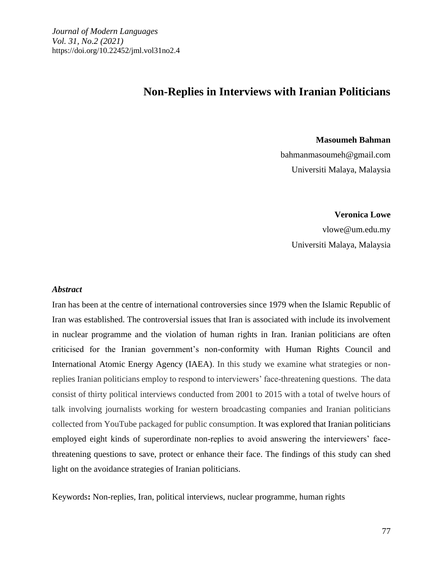# **Non-Replies in Interviews with Iranian Politicians**

**Masoumeh Bahman** 

bahmanmasoumeh@gmail.com Universiti Malaya, Malaysia

 **Veronica Lowe** 

 vlowe@um.edu.my Universiti Malaya, Malaysia

#### *Abstract*

 Iran has been at the centre of international controversies since 1979 when the Islamic Republic of Iran was established. The controversial issues that Iran is associated with include its involvement in nuclear programme and the violation of human rights in Iran. Iranian politicians are often criticised for the Iranian government's non-conformity with Human Rights Council and International Atomic Energy Agency (IAEA). In this study we examine what strategies or nonreplies Iranian politicians employ to respond to interviewers' face-threatening questions. The data consist of thirty political interviews conducted from 2001 to 2015 with a total of twelve hours of talk involving journalists working for western broadcasting companies and Iranian politicians collected from YouTube packaged for public consumption. It was explored that Iranian politicians employed eight kinds of superordinate non-replies to avoid answering the interviewers' facethreatening questions to save, protect or enhance their face. The findings of this study can shed light on the avoidance strategies of Iranian politicians.

Keywords**:** Non-replies, Iran, political interviews, nuclear programme, human rights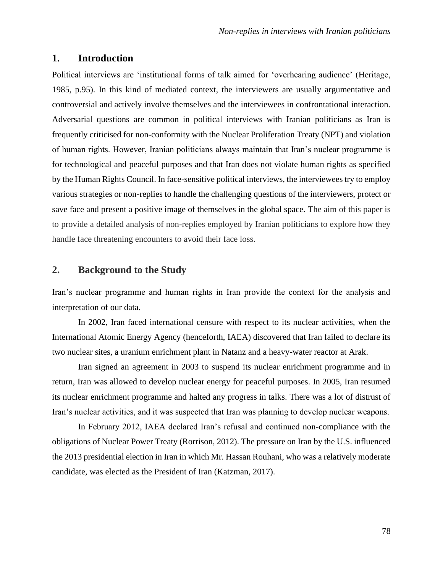# **1. Introduction**

Political interviews are 'institutional forms of talk aimed for 'overhearing audience' (Heritage, 1985, p.95). In this kind of mediated context, the interviewers are usually argumentative and controversial and actively involve themselves and the interviewees in confrontational interaction. Adversarial questions are common in political interviews with Iranian politicians as Iran is frequently criticised for non-conformity with the Nuclear Proliferation Treaty (NPT) and violation of human rights. However, Iranian politicians always maintain that Iran's nuclear programme is for technological and peaceful purposes and that Iran does not violate human rights as specified by the Human Rights Council. In face-sensitive political interviews, the interviewees try to employ various strategies or non-replies to handle the challenging questions of the interviewers, protect or save face and present a positive image of themselves in the global space. The aim of this paper is to provide a detailed analysis of non-replies employed by Iranian politicians to explore how they handle face threatening encounters to avoid their face loss.

# **2. Background to the Study**

Iran's nuclear programme and human rights in Iran provide the context for the analysis and interpretation of our data.

In 2002, Iran faced international censure with respect to its nuclear activities, when the International Atomic Energy Agency (henceforth, IAEA) discovered that Iran failed to declare its two nuclear sites, a uranium enrichment plant in Natanz and a heavy-water reactor at Arak.

 Iran signed an agreement in 2003 to suspend its nuclear enrichment programme and in return, Iran was allowed to develop nuclear energy for peaceful purposes. In 2005, Iran resumed its nuclear enrichment programme and halted any progress in talks. There was a lot of distrust of Iran's nuclear activities, and it was suspected that Iran was planning to develop nuclear weapons.

 In February 2012, IAEA declared Iran's refusal and continued non-compliance with the obligations of Nuclear Power Treaty (Rorrison, 2012). The pressure on Iran by the U.S. influenced the 2013 presidential election in Iran in which Mr. Hassan Rouhani, who was a relatively moderate candidate, was elected as the President of Iran (Katzman, 2017).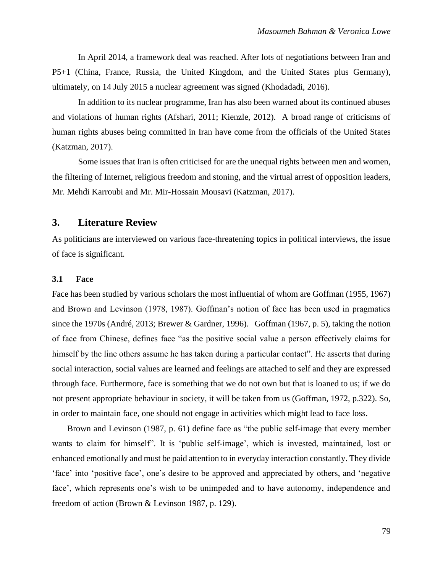In April 2014, a framework deal was reached. After lots of negotiations between Iran and P5+1 (China, France, Russia, the United Kingdom, and the United States plus Germany), ultimately, on 14 July 2015 a nuclear agreement was signed (Khodadadi, 2016).

 In addition to its nuclear programme, Iran has also been warned about its continued abuses and violations of human rights (Afshari, 2011; Kienzle, 2012). A broad range of criticisms of human rights abuses being committed in Iran have come from the officials of the United States (Katzman, 2017).

 Some issues that Iran is often criticised for are the unequal rights between men and women, the filtering of Internet, religious freedom and stoning, and the virtual arrest of opposition leaders, Mr. Mehdi Karroubi and Mr. Mir-Hossain Mousavi (Katzman, 2017).

# **3. Literature Review**

As politicians are interviewed on various face-threatening topics in political interviews, the issue of face is significant.

#### **3.1 Face**

Face has been studied by various scholars the most influential of whom are Goffman (1955, 1967) and Brown and Levinson (1978, 1987). Goffman's notion of face has been used in pragmatics since the 1970s (André, 2013; Brewer & Gardner, 1996). Goffman (1967, p. 5), taking the notion of face from Chinese, defines face "as the positive social value a person effectively claims for himself by the line others assume he has taken during a particular contact". He asserts that during social interaction, social values are learned and feelings are attached to self and they are expressed through face. Furthermore, face is something that we do not own but that is loaned to us; if we do not present appropriate behaviour in society, it will be taken from us (Goffman, 1972, p.322). So, in order to maintain face, one should not engage in activities which might lead to face loss.

 Brown and Levinson (1987, p. 61) define face as "the public self-image that every member wants to claim for himself". It is 'public self-image', which is invested, maintained, lost or enhanced emotionally and must be paid attention to in everyday interaction constantly. They divide 'face' into 'positive face', one's desire to be approved and appreciated by others, and 'negative face', which represents one's wish to be unimpeded and to have autonomy, independence and freedom of action (Brown & Levinson 1987, p. 129).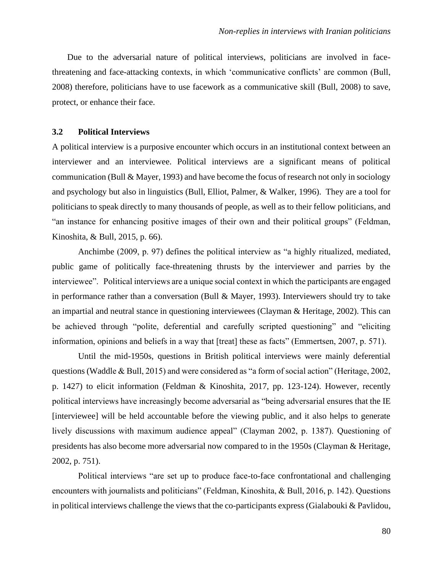Due to the adversarial nature of political interviews, politicians are involved in facethreatening and face-attacking contexts, in which 'communicative conflicts' are common (Bull, 2008) therefore, politicians have to use facework as a communicative skill (Bull, 2008) to save, protect, or enhance their face.

#### **3.2 Political Interviews**

A political interview is a purposive encounter which occurs in an institutional context between an interviewer and an interviewee. Political interviews are a significant means of political communication (Bull & Mayer, 1993) and have become the focus of research not only in sociology and psychology but also in linguistics (Bull, Elliot, Palmer, & Walker, 1996). They are a tool for politicians to speak directly to many thousands of people, as well as to their fellow politicians, and "an instance for enhancing positive images of their own and their political groups" (Feldman, Kinoshita, & Bull, 2015, p. 66).

 Anchimbe (2009, p. 97) defines the political interview as "a highly ritualized, mediated, public game of politically face-threatening thrusts by the interviewer and parries by the interviewee". Political interviews are a unique social context in which the participants are engaged in performance rather than a conversation (Bull & Mayer, 1993). Interviewers should try to take an impartial and neutral stance in questioning interviewees (Clayman & Heritage, 2002). This can be achieved through "polite, deferential and carefully scripted questioning" and "eliciting information, opinions and beliefs in a way that [treat] these as facts" (Emmertsen, 2007, p. 571).

 Until the mid-1950s, questions in British political interviews were mainly deferential questions (Waddle & Bull, 2015) and were considered as "a form of social action" (Heritage, 2002, p. 1427) to elicit information (Feldman & Kinoshita, 2017, pp. 123-124). However, recently political interviews have increasingly become adversarial as "being adversarial ensures that the IE [interviewee] will be held accountable before the viewing public, and it also helps to generate lively discussions with maximum audience appeal" (Clayman 2002, p. 1387). Questioning of presidents has also become more adversarial now compared to in the 1950s (Clayman & Heritage, 2002, p. 751).

 Political interviews "are set up to produce face-to-face confrontational and challenging encounters with journalists and politicians" (Feldman, Kinoshita, & Bull, 2016, p. 142). Questions in political interviews challenge the views that the co-participants express (Gialabouki  $\&$  Pavlidou,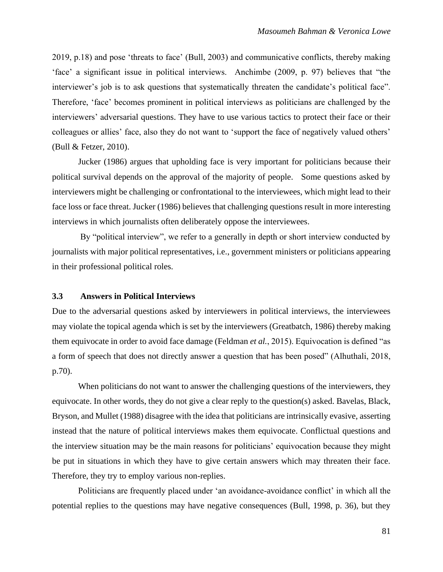2019, p.18) and pose 'threats to face' (Bull, 2003) and communicative conflicts, thereby making 'face' a significant issue in political interviews. Anchimbe (2009, p. 97) believes that "the interviewer's job is to ask questions that systematically threaten the candidate's political face". Therefore, 'face' becomes prominent in political interviews as politicians are challenged by the interviewers' adversarial questions. They have to use various tactics to protect their face or their colleagues or allies' face, also they do not want to 'support the face of negatively valued others' (Bull & Fetzer, 2010).

 Jucker (1986) argues that upholding face is very important for politicians because their political survival depends on the approval of the majority of people. Some questions asked by interviewers might be challenging or confrontational to the interviewees, which might lead to their face loss or face threat. Jucker (1986) believes that challenging questions result in more interesting interviews in which journalists often deliberately oppose the interviewees.

 By "political interview", we refer to a generally in depth or short interview conducted by journalists with major political representatives, i.e., government ministers or politicians appearing in their professional political roles.

## **3.3 Answers in Political Interviews**

Due to the adversarial questions asked by interviewers in political interviews, the interviewees may violate the topical agenda which is set by the interviewers (Greatbatch, 1986) thereby making them equivocate in order to avoid face damage (Feldman *et al.*, 2015). Equivocation is defined "as a form of speech that does not directly answer a question that has been posed" (Alhuthali, 2018, p.70).

When politicians do not want to answer the challenging questions of the interviewers, they equivocate. In other words, they do not give a clear reply to the question(s) asked. Bavelas, Black, Bryson, and Mullet (1988) disagree with the idea that politicians are intrinsically evasive, asserting instead that the nature of political interviews makes them equivocate. Conflictual questions and the interview situation may be the main reasons for politicians' equivocation because they might be put in situations in which they have to give certain answers which may threaten their face. Therefore, they try to employ various non-replies.

Politicians are frequently placed under 'an avoidance-avoidance conflict' in which all the potential replies to the questions may have negative consequences (Bull, 1998, p. 36), but they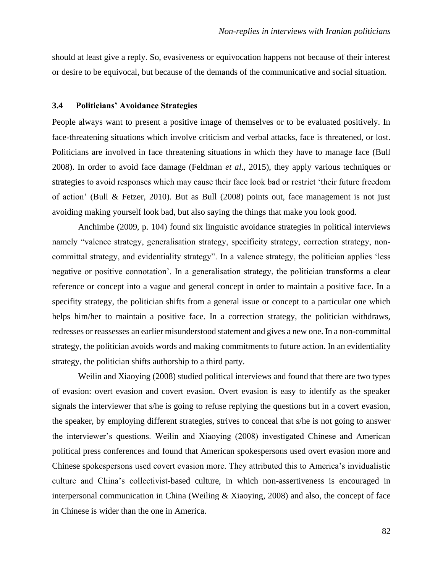should at least give a reply. So, evasiveness or equivocation happens not because of their interest or desire to be equivocal, but because of the demands of the communicative and social situation.

#### **3.4 Politicians' Avoidance Strategies**

People always want to present a positive image of themselves or to be evaluated positively. In face-threatening situations which involve criticism and verbal attacks, face is threatened, or lost. Politicians are involved in face threatening situations in which they have to manage face (Bull 2008). In order to avoid face damage (Feldman *et al*., 2015), they apply various techniques or strategies to avoid responses which may cause their face look bad or restrict 'their future freedom of action' (Bull & Fetzer, 2010). But as Bull (2008) points out, face management is not just avoiding making yourself look bad, but also saying the things that make you look good.

Anchimbe (2009, p. 104) found six linguistic avoidance strategies in political interviews namely "valence strategy, generalisation strategy, specificity strategy, correction strategy, noncommittal strategy, and evidentiality strategy". In a valence strategy, the politician applies 'less negative or positive connotation'. In a generalisation strategy, the politician transforms a clear reference or concept into a vague and general concept in order to maintain a positive face. In a specifity strategy, the politician shifts from a general issue or concept to a particular one which helps him/her to maintain a positive face. In a correction strategy, the politician withdraws, redresses or reassesses an earlier misunderstood statement and gives a new one. In a non-committal strategy, the politician avoids words and making commitments to future action. In an evidentiality strategy, the politician shifts authorship to a third party.

Weilin and Xiaoying (2008) studied political interviews and found that there are two types of evasion: overt evasion and covert evasion. Overt evasion is easy to identify as the speaker signals the interviewer that s/he is going to refuse replying the questions but in a covert evasion, the speaker, by employing different strategies, strives to conceal that s/he is not going to answer the interviewer's questions. Weilin and Xiaoying (2008) investigated Chinese and American political press conferences and found that American spokespersons used overt evasion more and Chinese spokespersons used covert evasion more. They attributed this to America's invidualistic culture and China's collectivist-based culture, in which non-assertiveness is encouraged in interpersonal communication in China (Weiling & Xiaoying, 2008) and also, the concept of face in Chinese is wider than the one in America.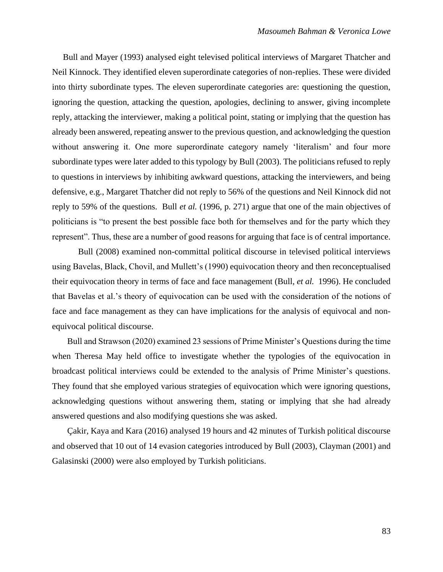Bull and Mayer (1993) analysed eight televised political interviews of Margaret Thatcher and Neil Kinnock. They identified eleven superordinate categories of non-replies. These were divided into thirty subordinate types. The eleven superordinate categories are: questioning the question, ignoring the question, attacking the question, apologies, declining to answer, giving incomplete reply, attacking the interviewer, making a political point, stating or implying that the question has already been answered, repeating answer to the previous question, and acknowledging the question without answering it. One more superordinate category namely 'literalism' and four more subordinate types were later added to this typology by Bull (2003). The politicians refused to reply to questions in interviews by inhibiting awkward questions, attacking the interviewers, and being defensive, e.g., Margaret Thatcher did not reply to 56% of the questions and Neil Kinnock did not reply to 59% of the questions. Bull *et al.* (1996, p. 271) argue that one of the main objectives of politicians is "to present the best possible face both for themselves and for the party which they represent". Thus, these are a number of good reasons for arguing that face is of central importance.

Bull (2008) examined non-committal political discourse in televised political interviews using Bavelas, Black, Chovil, and Mullett's (1990) equivocation theory and then reconceptualised their equivocation theory in terms of face and face management (Bull, *et al.* 1996). He concluded that Bavelas et al.'s theory of equivocation can be used with the consideration of the notions of face and face management as they can have implications for the analysis of equivocal and nonequivocal political discourse.

 Bull and Strawson (2020) examined 23 sessions of Prime Minister's Questions during the time when Theresa May held office to investigate whether the typologies of the equivocation in broadcast political interviews could be extended to the analysis of Prime Minister's questions. They found that she employed various strategies of equivocation which were ignoring questions, acknowledging questions without answering them, stating or implying that she had already answered questions and also modifying questions she was asked.

 Çakir, Kaya and Kara (2016) analysed 19 hours and 42 minutes of Turkish political discourse and observed that 10 out of 14 evasion categories introduced by Bull (2003), Clayman (2001) and Galasinski (2000) were also employed by Turkish politicians.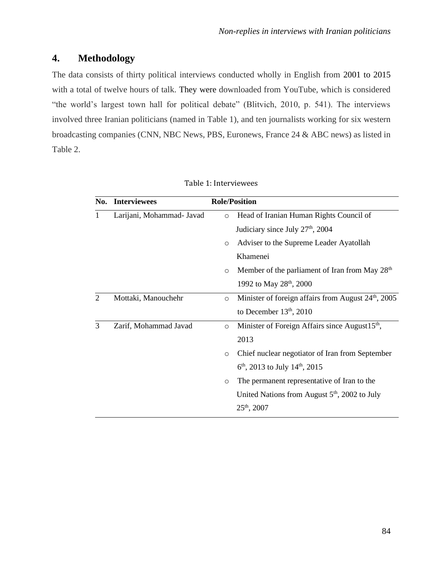# **4. Methodology**

The data consists of thirty political interviews conducted wholly in English from 2001 to 2015 with a total of twelve hours of talk. They were downloaded from YouTube, which is considered "the world's largest town hall for political debate" (Blitvich, 2010, p. 541). The interviews involved three Iranian politicians (named in Table 1), and ten journalists working for six western broadcasting companies (CNN, NBC News, PBS, Euronews, France 24 & ABC news) as listed in Table 2.

| No.            | <b>Interviewees</b>       | <b>Role/Position</b> |                                                                 |
|----------------|---------------------------|----------------------|-----------------------------------------------------------------|
| 1              | Larijani, Mohammad- Javad | $\circ$              | Head of Iranian Human Rights Council of                         |
|                |                           |                      | Judiciary since July 27 <sup>th</sup> , 2004                    |
|                |                           | $\circ$              | Adviser to the Supreme Leader Ayatollah                         |
|                |                           |                      | Khamenei                                                        |
|                |                           | $\circ$              | Member of the parliament of Iran from May 28 <sup>th</sup>      |
|                |                           |                      | 1992 to May 28 <sup>th</sup> , 2000                             |
| $\overline{2}$ | Mottaki, Manouchehr       | $\circ$              | Minister of foreign affairs from August 24 <sup>th</sup> , 2005 |
|                |                           |                      | to December $13th$ , 2010                                       |
| 3              | Zarif, Mohammad Javad     | $\circ$              | Minister of Foreign Affairs since August15 <sup>th</sup> ,      |
|                |                           |                      | 2013                                                            |
|                |                           | $\circ$              | Chief nuclear negotiator of Iran from September                 |
|                |                           |                      | $6th$ , 2013 to July 14 <sup>th</sup> , 2015                    |
|                |                           | $\circ$              | The permanent representative of Iran to the                     |
|                |                           |                      | United Nations from August $5th$ , 2002 to July                 |
|                |                           |                      | $25th$ , 2007                                                   |
|                |                           |                      |                                                                 |

|  | Table 1: Interviewees |
|--|-----------------------|
|--|-----------------------|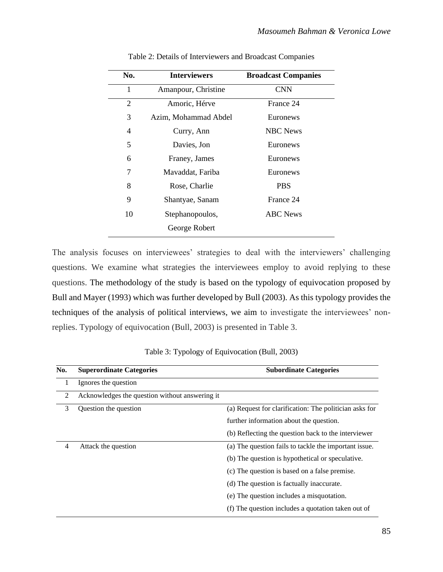| No. | <b>Interviewers</b>  | <b>Broadcast Companies</b> |
|-----|----------------------|----------------------------|
| 1   | Amanpour, Christine  | <b>CNN</b>                 |
| 2   | Amoric, Hérve        | France 24                  |
| 3   | Azim, Mohammad Abdel | Euronews                   |
| 4   | Curry, Ann           | <b>NBC</b> News            |
| 5   | Davies, Jon          | Euronews                   |
| 6   | Franey, James        | Euronews                   |
| 7   | Mavaddat, Fariba     | Euronews                   |
| 8   | Rose, Charlie        | <b>PBS</b>                 |
| 9   | Shantyae, Sanam      | France 24                  |
| 10  | Stephanopoulos,      | <b>ABC</b> News            |
|     | George Robert        |                            |

Table 2: Details of Interviewers and Broadcast Companies

The analysis focuses on interviewees' strategies to deal with the interviewers' challenging questions. We examine what strategies the interviewees employ to avoid replying to these questions. The methodology of the study is based on the typology of equivocation proposed by Bull and Mayer (1993) which was further developed by Bull (2003). As this typology provides the techniques of the analysis of political interviews, we aim to investigate the interviewees' nonreplies. Typology of equivocation (Bull, 2003) is presented in Table 3.

| No. | <b>Superordinate Categories</b>                | <b>Subordinate Categories</b>                          |
|-----|------------------------------------------------|--------------------------------------------------------|
| 1   | Ignores the question                           |                                                        |
| 2   | Acknowledges the question without answering it |                                                        |
| 3   | Question the question                          | (a) Request for clarification: The politician asks for |
|     |                                                | further information about the question.                |
|     |                                                | (b) Reflecting the question back to the interviewer    |
| 4   | Attack the question                            | (a) The question fails to tackle the important issue.  |
|     |                                                | (b) The question is hypothetical or speculative.       |
|     |                                                | (c) The question is based on a false premise.          |
|     |                                                | (d) The question is factually inaccurate.              |
|     |                                                | (e) The question includes a misquotation.              |
|     |                                                | (f) The question includes a quotation taken out of     |

Table 3: Typology of Equivocation (Bull, 2003)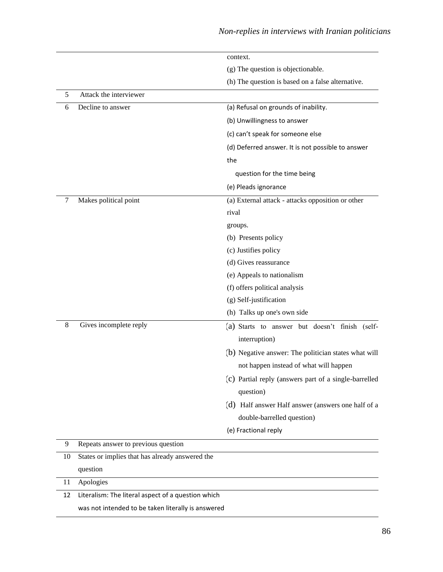|        |                                                    | context.                                              |
|--------|----------------------------------------------------|-------------------------------------------------------|
|        |                                                    | (g) The question is objectionable.                    |
|        |                                                    | (h) The question is based on a false alternative.     |
| 5      | Attack the interviewer                             |                                                       |
| 6      | Decline to answer                                  | (a) Refusal on grounds of inability.                  |
|        |                                                    | (b) Unwillingness to answer                           |
|        |                                                    | (c) can't speak for someone else                      |
|        |                                                    | (d) Deferred answer. It is not possible to answer     |
|        |                                                    | the                                                   |
|        |                                                    | question for the time being                           |
|        |                                                    | (e) Pleads ignorance                                  |
| 7      | Makes political point                              | (a) External attack - attacks opposition or other     |
|        |                                                    | rival                                                 |
|        |                                                    | groups.                                               |
|        |                                                    | (b) Presents policy                                   |
|        |                                                    | (c) Justifies policy                                  |
|        |                                                    | (d) Gives reassurance                                 |
|        |                                                    | (e) Appeals to nationalism                            |
|        |                                                    | (f) offers political analysis                         |
|        |                                                    | (g) Self-justification                                |
|        |                                                    | (h) Talks up one's own side                           |
| 8      | Gives incomplete reply                             | (a) Starts to answer but doesn't finish (self-        |
|        |                                                    | interruption)                                         |
|        |                                                    | (b) Negative answer: The politician states what will  |
|        |                                                    | not happen instead of what will happen                |
|        |                                                    | (c) Partial reply (answers part of a single-barrelled |
|        |                                                    | question)                                             |
|        |                                                    | (d) Half answer Half answer (answers one half of a    |
|        |                                                    | double-barrelled question)                            |
|        |                                                    | (e) Fractional reply                                  |
| 9      | Repeats answer to previous question                |                                                       |
| 10     | States or implies that has already answered the    |                                                       |
|        | question                                           |                                                       |
| $11\,$ | Apologies                                          |                                                       |
| 12     | Literalism: The literal aspect of a question which |                                                       |
|        | was not intended to be taken literally is answered |                                                       |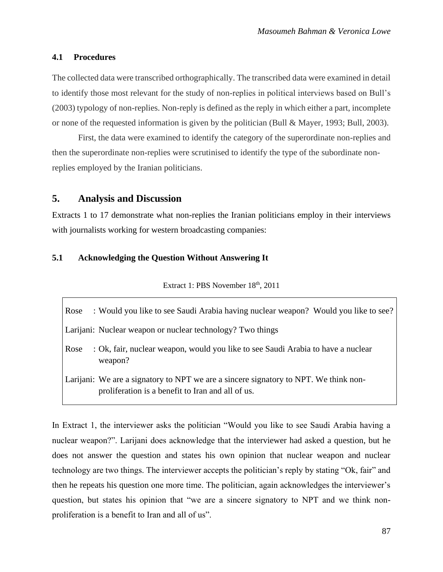#### **4.1 Procedures**

The collected data were transcribed orthographically. The transcribed data were examined in detail to identify those most relevant for the study of non-replies in political interviews based on Bull's (2003) typology of non-replies. Non-reply is defined as the reply in which either a part, incomplete or none of the requested information is given by the politician (Bull & Mayer, 1993; Bull, 2003).

First, the data were examined to identify the category of the superordinate non-replies and then the superordinate non-replies were scrutinised to identify the type of the subordinate nonreplies employed by the Iranian politicians.

### **5. Analysis and Discussion**

Extracts 1 to 17 demonstrate what non-replies the Iranian politicians employ in their interviews with journalists working for western broadcasting companies:

#### **5.1 Acknowledging the Question Without Answering It**

Extract 1: PBS November 18<sup>th</sup>, 2011

Rose Would you like to see Saudi Arabia having nuclear weapon? Would you like to see?

Larijani: Nuclear weapon or nuclear technology? Two things

Rose Ok, fair, nuclear weapon, would you like to see Saudi Arabia to have a nuclear weapon?

Larijani: We are a signatory to NPT we are a sincere signatory to NPT. We think nonproliferation is a benefit to Iran and all of us.

In Extract 1, the interviewer asks the politician "Would you like to see Saudi Arabia having a nuclear weapon?". Larijani does acknowledge that the interviewer had asked a question, but he does not answer the question and states his own opinion that nuclear weapon and nuclear technology are two things. The interviewer accepts the politician's reply by stating "Ok, fair" and then he repeats his question one more time. The politician, again acknowledges the interviewer's question, but states his opinion that "we are a sincere signatory to NPT and we think nonproliferation is a benefit to Iran and all of us".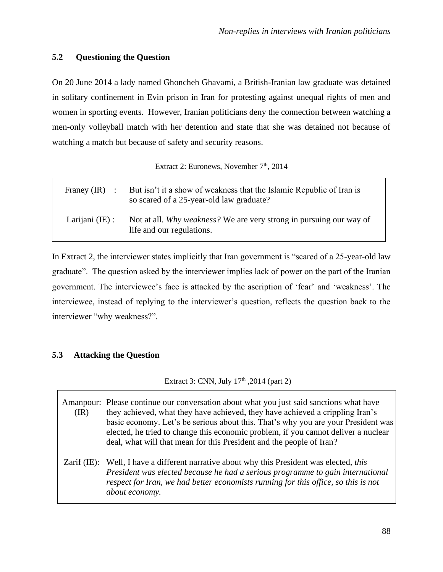# **5.2 Questioning the Question**

On 20 June 2014 a lady named Ghoncheh Ghavami, a British-Iranian law graduate was detained in solitary confinement in Evin prison in Iran for protesting against unequal rights of men and women in sporting events. However, Iranian politicians deny the connection between watching a men-only volleyball match with her detention and state that she was detained not because of watching a match but because of safety and security reasons.

Extract 2: Euronews, November 7<sup>th</sup>, 2014

| Franey $(IR)$ :   | But isn't it a show of weakness that the Islamic Republic of Iran is<br>so scared of a 25-year-old law graduate? |
|-------------------|------------------------------------------------------------------------------------------------------------------|
| Larijani $(IE)$ : | Not at all. Why weakness? We are very strong in pursuing our way of<br>life and our regulations.                 |

In Extract 2, the interviewer states implicitly that Iran government is "scared of a 25-year-old law graduate". The question asked by the interviewer implies lack of power on the part of the Iranian government. The interviewee's face is attacked by the ascription of 'fear' and 'weakness'. The interviewee, instead of replying to the interviewer's question, reflects the question back to the interviewer "why weakness?".

# **5.3 Attacking the Question**

Extract 3: CNN, July 17<sup>th</sup>, 2014 (part 2)

| (IR) | Amanpour: Please continue our conversation about what you just said sanctions what have<br>they achieved, what they have achieved, they have achieved a crippling Iran's<br>basic economy. Let's be serious about this. That's why you are your President was<br>elected, he tried to change this economic problem, if you cannot deliver a nuclear<br>deal, what will that mean for this President and the people of Iran? |
|------|-----------------------------------------------------------------------------------------------------------------------------------------------------------------------------------------------------------------------------------------------------------------------------------------------------------------------------------------------------------------------------------------------------------------------------|
|      | Zarif (IE): Well, I have a different narrative about why this President was elected, this<br>President was elected because he had a serious programme to gain international<br>respect for Iran, we had better economists running for this office, so this is not<br>about economy.                                                                                                                                         |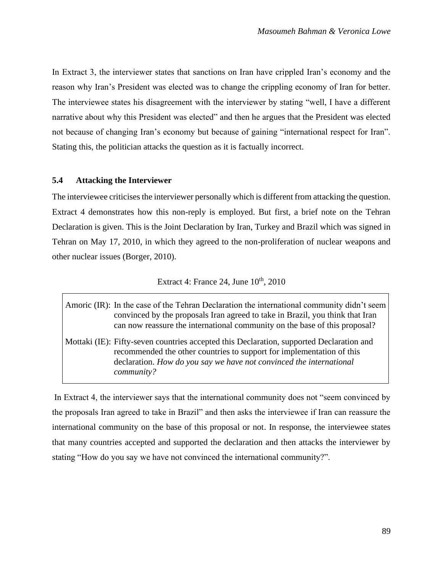In Extract 3, the interviewer states that sanctions on Iran have crippled Iran's economy and the reason why Iran's President was elected was to change the crippling economy of Iran for better. The interviewee states his disagreement with the interviewer by stating "well, I have a different narrative about why this President was elected" and then he argues that the President was elected not because of changing Iran's economy but because of gaining "international respect for Iran". Stating this, the politician attacks the question as it is factually incorrect.

### **5.4 Attacking the Interviewer**

The interviewee criticises the interviewer personally which is different from attacking the question. Extract 4 demonstrates how this non-reply is employed. But first, a brief note on the Tehran Declaration is given. This is the Joint Declaration by Iran, Turkey and Brazil which was signed in Tehran on May 17, 2010, in which they agreed to the non-proliferation of nuclear weapons and other nuclear issues (Borger, 2010).

# Extract 4: France 24, June  $10^{th}$ , 2010

| Amoric (IR): In the case of the Tehran Declaration the international community didn't seem<br>convinced by the proposals Iran agreed to take in Brazil, you think that Iran<br>can now reassure the international community on the base of this proposal?     |
|---------------------------------------------------------------------------------------------------------------------------------------------------------------------------------------------------------------------------------------------------------------|
| Mottaki (IE): Fifty-seven countries accepted this Declaration, supported Declaration and<br>recommended the other countries to support for implementation of this<br>declaration. How do you say we have not convinced the international<br><i>community?</i> |

In Extract 4, the interviewer says that the international community does not "seem convinced by the proposals Iran agreed to take in Brazil" and then asks the interviewee if Iran can reassure the international community on the base of this proposal or not. In response, the interviewee states that many countries accepted and supported the declaration and then attacks the interviewer by stating "How do you say we have not convinced the international community?".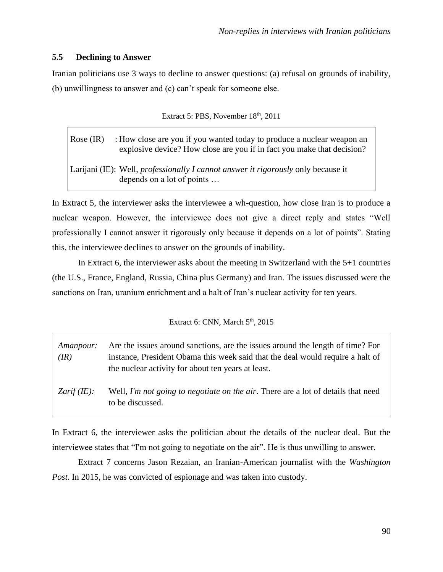# **5.5 Declining to Answer**

Iranian politicians use 3 ways to decline to answer questions: (a) refusal on grounds of inability, (b) unwillingness to answer and (c) can't speak for someone else.

|  |  | Extract 5: PBS, November 18th, 2011 |  |  |
|--|--|-------------------------------------|--|--|
|--|--|-------------------------------------|--|--|

Rose (IR) : How close are you if you wanted today to produce a nuclear weapon an explosive device? How close are you if in fact you make that decision? Larijani (IE): Well, *professionally I cannot answer it rigorously* only because it

depends on a lot of points …

In Extract 5, the interviewer asks the interviewee a wh-question, how close Iran is to produce a nuclear weapon. However, the interviewee does not give a direct reply and states "Well professionally I cannot answer it rigorously only because it depends on a lot of points". Stating this, the interviewee declines to answer on the grounds of inability.

In Extract 6, the interviewer asks about the meeting in Switzerland with the 5+1 countries (the U.S., France, England, Russia, China plus Germany) and Iran. The issues discussed were the sanctions on Iran, uranium enrichment and a halt of Iran's nuclear activity for ten years.

#### Extract 6: CNN, March  $5<sup>th</sup>$ , 2015

| Amanpour:<br>(IR)     | Are the issues around sanctions, are the issues around the length of time? For<br>instance, President Obama this week said that the deal would require a halt of<br>the nuclear activity for about ten years at least. |
|-----------------------|------------------------------------------------------------------------------------------------------------------------------------------------------------------------------------------------------------------------|
| <i>Zarif</i> $(IE)$ : | Well, I'm not going to negotiate on the air. There are a lot of details that need<br>to be discussed.                                                                                                                  |

In Extract 6, the interviewer asks the politician about the details of the nuclear deal. But the interviewee states that "I'm not going to negotiate on the air". He is thus unwilling to answer.

Extract 7 concerns Jason Rezaian, an Iranian-American journalist with the *Washington Post*. In 2015, he was convicted of espionage and was taken into custody.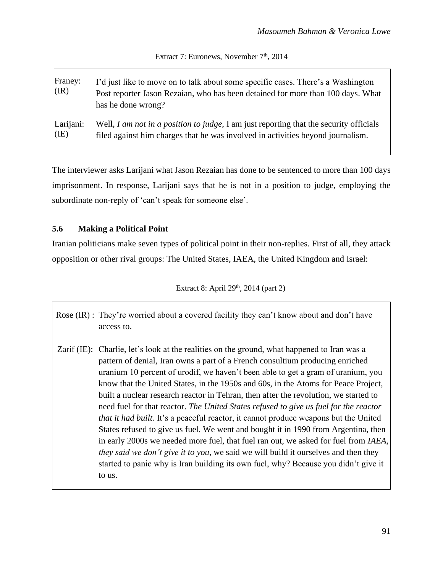Extract 7: Euronews, November 7<sup>th</sup>, 2014

| Franey:<br>(IR) | I'd just like to move on to talk about some specific cases. There's a Washington<br>Post reporter Jason Rezaian, who has been detained for more than 100 days. What<br>has he done wrong? |
|-----------------|-------------------------------------------------------------------------------------------------------------------------------------------------------------------------------------------|
| Larijani:       | Well, I am not in a position to judge, I am just reporting that the security officials                                                                                                    |
| (IE)            | filed against him charges that he was involved in activities beyond journalism.                                                                                                           |

The interviewer asks Larijani what Jason Rezaian has done to be sentenced to more than 100 days imprisonment. In response, Larijani says that he is not in a position to judge, employing the subordinate non-reply of 'can't speak for someone else'.

# **5.6 Making a Political Point**

Iranian politicians make seven types of political point in their non-replies. First of all, they attack opposition or other rival groups: The United States, IAEA, the United Kingdom and Israel:

Extract 8: April  $29<sup>th</sup>$ , 2014 (part 2)

Rose (IR) : They're worried about a covered facility they can't know about and don't have access to.

Zarif (IE): Charlie, let's look at the realities on the ground, what happened to Iran was a pattern of denial, Iran owns a part of a French consultium producing enriched uranium 10 percent of urodif, we haven't been able to get a gram of uranium, you know that the United States, in the 1950s and 60s, in the Atoms for Peace Project, built a nuclear research reactor in Tehran, then after the revolution, we started to need fuel for that reactor. *The United States refused to give us fuel for the reactor that it had built.* It's a peaceful reactor, it cannot produce weapons but the United States refused to give us fuel. We went and bought it in 1990 from Argentina, then in early 2000s we needed more fuel, that fuel ran out, we asked for fuel from *IAEA, they said we don't give it to you*, we said we will build it ourselves and then they started to panic why is Iran building its own fuel, why? Because you didn't give it to us.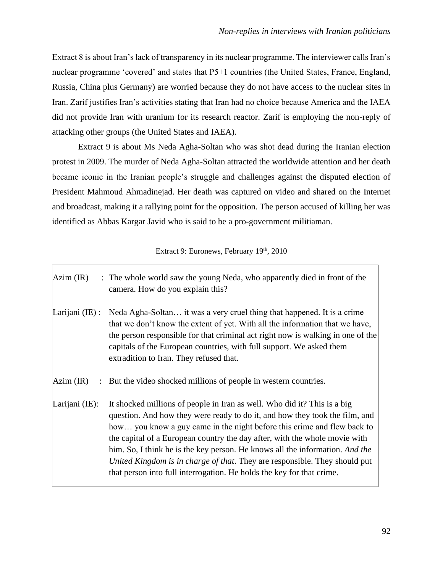Extract 8 is about Iran's lack of transparency in its nuclear programme. The interviewer calls Iran's nuclear programme 'covered' and states that P5+1 countries (the United States, France, England, Russia, China plus Germany) are worried because they do not have access to the nuclear sites in Iran. Zarif justifies Iran's activities stating that Iran had no choice because America and the IAEA did not provide Iran with uranium for its research reactor. Zarif is employing the non-reply of attacking other groups (the United States and IAEA).

Extract 9 is about Ms Neda Agha-Soltan who was shot dead during the Iranian election protest in 2009. The murder of Neda Agha-Soltan attracted the worldwide attention and her death became iconic in the Iranian people's struggle and challenges against the disputed election of President Mahmoud Ahmadinejad. Her death was captured on video and shared on the Internet and broadcast, making it a rallying point for the opposition. The person accused of killing her was identified as Abbas Kargar Javid who is said to be a pro-government militiaman.

# Extract 9: Euronews, February 19th, 2010

| $Azim$ (IR)     | : The whole world saw the young Neda, who apparently died in front of the<br>camera. How do you explain this?                                                                                                                                                                                                                                                                                                                                                                                                                                           |
|-----------------|---------------------------------------------------------------------------------------------------------------------------------------------------------------------------------------------------------------------------------------------------------------------------------------------------------------------------------------------------------------------------------------------------------------------------------------------------------------------------------------------------------------------------------------------------------|
| Larijani (IE) : | Neda Agha-Soltan it was a very cruel thing that happened. It is a crime<br>that we don't know the extent of yet. With all the information that we have,<br>the person responsible for that criminal act right now is walking in one of the<br>capitals of the European countries, with full support. We asked them<br>extradition to Iran. They refused that.                                                                                                                                                                                           |
| Azim (IR)       | : But the video shocked millions of people in western countries.                                                                                                                                                                                                                                                                                                                                                                                                                                                                                        |
| Larijani (IE):  | It shocked millions of people in Iran as well. Who did it? This is a big<br>question. And how they were ready to do it, and how they took the film, and<br>how you know a guy came in the night before this crime and flew back to<br>the capital of a European country the day after, with the whole movie with<br>him. So, I think he is the key person. He knows all the information. And the<br>United Kingdom is in charge of that. They are responsible. They should put<br>that person into full interrogation. He holds the key for that crime. |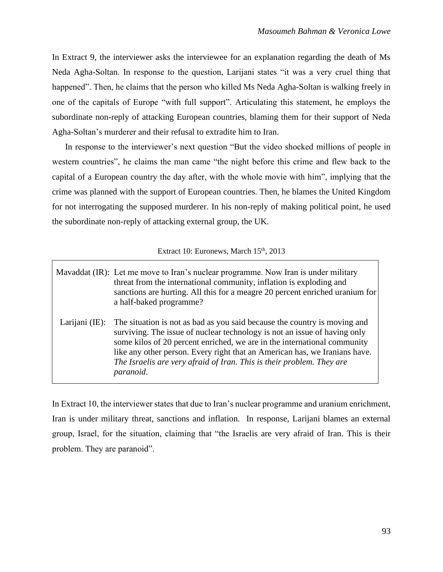In Extract 9, the interviewer asks the interviewee for an explanation regarding the death of Ms Neda Agha-Soltan. In response to the question, Larijani states "it was a very cruel thing that happened". Then, he claims that the person who killed Ms Neda Agha-Soltan is walking freely in one of the capitals of Europe "with full support". Articulating this statement, he employs the subordinate non-reply of attacking European countries, blaming them for their support of Neda Agha-Soltan's murderer and their refusal to extradite him to Iran.

 In response to the interviewer's next question "But the video shocked millions of people in western countries", he claims the man came "the night before this crime and flew back to the capital of a European country the day after, with the whole movie with him", implying that the crime was planned with the support of European countries. Then, he blames the United Kingdom for not interrogating the supposed murderer. In his non-reply of making political point, he used the subordinate non-reply of attacking external group, the UK.

# Extract 10: Euronews, March 15<sup>th</sup>, 2013

|                | Mavaddat (IR): Let me move to Iran's nuclear programme. Now Iran is under military<br>threat from the international community, inflation is exploding and<br>sanctions are hurting. All this for a meagre 20 percent enriched uranium for<br>a half-baked programme?                                                                                                                                   |
|----------------|--------------------------------------------------------------------------------------------------------------------------------------------------------------------------------------------------------------------------------------------------------------------------------------------------------------------------------------------------------------------------------------------------------|
| Larijani (IE): | The situation is not as bad as you said because the country is moving and<br>surviving. The issue of nuclear technology is not an issue of having only<br>some kilos of 20 percent enriched, we are in the international community<br>like any other person. Every right that an American has, we Iranians have.<br>The Israelis are very afraid of Iran. This is their problem. They are<br>paranoid. |

In Extract 10, the interviewer states that due to Iran's nuclear programme and uranium enrichment, Iran is under military threat, sanctions and inflation. In response, Larijani blames an external group, Israel, for the situation, claiming that "the Israelis are very afraid of Iran. This is their problem. They are paranoid".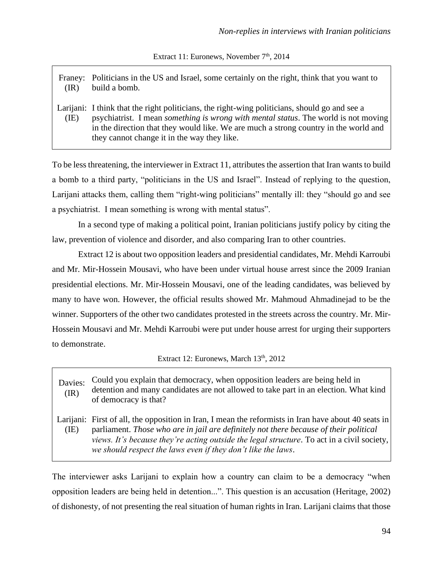Extract 11: Euronews, November  $7<sup>th</sup>$ , 2014

Franey: Politicians in the US and Israel, some certainly on the right, think that you want to (IR) build a bomb.

Larijani: I think that the right politicians, the right-wing politicians, should go and see a (IE) psychiatrist. I mean *something is wrong with mental status*. The world is not moving in the direction that they would like. We are much a strong country in the world and they cannot change it in the way they like.

To be less threatening, the interviewer in Extract 11, attributes the assertion that Iran wants to build a bomb to a third party, "politicians in the US and Israel". Instead of replying to the question, Larijani attacks them, calling them "right-wing politicians" mentally ill: they "should go and see a psychiatrist. I mean something is wrong with mental status".

In a second type of making a political point, Iranian politicians justify policy by citing the law, prevention of violence and disorder, and also comparing Iran to other countries.

Extract 12 is about two opposition leaders and presidential candidates, Mr. Mehdi Karroubi and Mr. Mir-Hossein Mousavi, who have been under virtual house arrest since the 2009 Iranian presidential elections. Mr. Mir-Hossein Mousavi, one of the leading candidates, was believed by many to have won. However, the official results showed Mr. Mahmoud Ahmadinejad to be the winner. Supporters of the other two candidates protested in the streets across the country. Mr. Mir-Hossein Mousavi and Mr. Mehdi Karroubi were put under house arrest for urging their supporters to demonstrate.

Extract 12: Euronews, March 13<sup>th</sup>, 2012

Davies: (IR) Could you explain that democracy, when opposition leaders are being held in detention and many candidates are not allowed to take part in an election. What kind of democracy is that?

Larijani: First of all, the opposition in Iran, I mean the reformists in Iran have about 40 seats in (IE) parliament. *Those who are in jail are definitely not there because of their political views. It's because they're acting outside the legal structure*. To act in a civil society, *we should respect the laws even if they don't like the laws*.

The interviewer asks Larijani to explain how a country can claim to be a democracy "when opposition leaders are being held in detention...". This question is an accusation (Heritage, 2002) of dishonesty, of not presenting the real situation of human rights in Iran. Larijani claims that those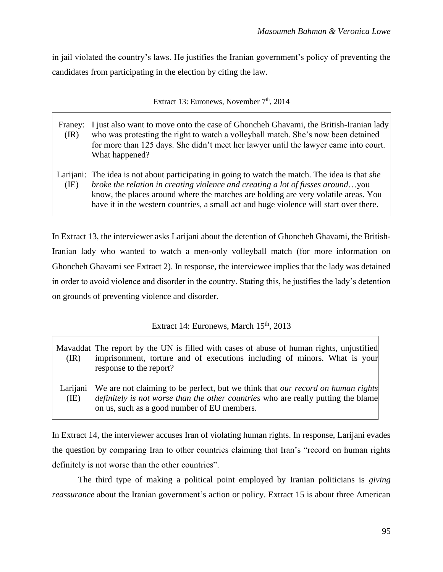in jail violated the country's laws. He justifies the Iranian government's policy of preventing the candidates from participating in the election by citing the law.

Extract 13: Euronews, November  $7<sup>th</sup>$ , 2014

- Franey: I just also want to move onto the case of [Ghoncheh Ghavami,](http://www.telegraph.co.uk/news/worldnews/middleeast/iran/11162479/Ghoncheh-Ghavami-awaits-verdict-in-Iran-trial.html) the British-Iranian lady  $(IR)$ who was protesting the right to watch a volleyball match. She's now been detained for more than 125 days. She didn't meet her lawyer until the lawyer came into court. What happened?
- Larijani: The idea is not about participating in going to watch the match. The idea is that *she*  (IE) *broke the relation in creating violence and creating a lot of fusses around*…you know, the places around where the matches are holding are very volatile areas. You have it in the western countries, a small act and huge violence will start over there.

In Extract 13, the interviewer asks Larijani about the detention of Ghoncheh Ghavami, the British-Iranian lady who wanted to watch a men-only volleyball match (for more information on Ghoncheh Ghavami see Extract 2). In response, the interviewee implies that the lady was detained in order to avoid violence and disorder in the country. Stating this, he justifies the lady's detention on grounds of preventing violence and disorder.

# Extract 14: Euronews, March 15<sup>th</sup>, 2013

- Mavaddat The report by the UN is filled with cases of abuse of human rights, unjustified (IR) imprisonment, torture and of executions including of minors. What is your response to the report?
- Larijani (IE) We are not claiming to be perfect, but we think that *our record on human rights definitely is not worse than the other countries* who are really putting the blame on us, such as a good number of EU members.

In Extract 14, the interviewer accuses Iran of violating human rights. In response, Larijani evades the question by comparing Iran to other countries claiming that Iran's "record on human rights definitely is not worse than the other countries".

The third type of making a political point employed by Iranian politicians is *giving reassurance* about the Iranian government's action or policy. Extract 15 is about three American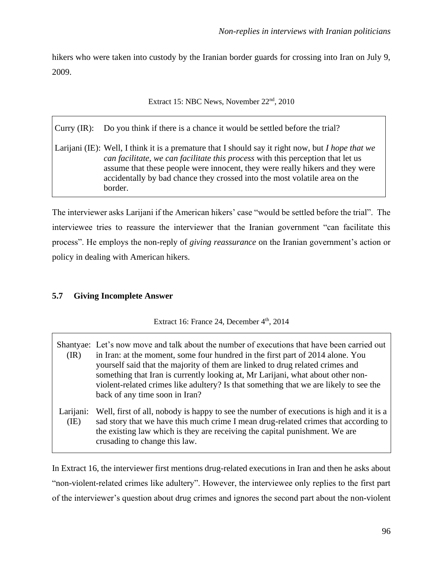hikers who were taken into custody by the Iranian border guards for crossing into Iran on July 9, 2009.

Extract 15: NBC News, November 22<sup>nd</sup>, 2010

Curry (IR): Do you think if there is a chance it would be settled before the trial?

Larijani (IE): Well, I think it is a premature that I should say it right now, but *I hope that we can facilitate, we can facilitate this process* with this perception that let us assume that these people were innocent, they were really hikers and they were accidentally by bad chance they crossed into the most volatile area on the border.

The interviewer asks Larijani if the American hikers' case "would be settled before the trial". The interviewee tries to reassure the interviewer that the Iranian government "can facilitate this process". He employs the non-reply of *giving reassurance* on the Iranian government's action or policy in dealing with American hikers.

# **5.7 Giving Incomplete Answer**

Extract 16: France 24, December 4<sup>th</sup>, 2014

Shantyae: Let's now move and talk about the number of executions that have been carried out  $(\mathrm{IR})$ in Iran: at the moment, some four hundred in the first part of 2014 alone. You yourself said that the majority of them are linked to drug related crimes and something that Iran is currently looking at, Mr Larijani, what about other nonviolent-related crimes like adultery? Is that something that we are likely to see the back of any time soon in Iran?

Larijani: (IE) Well, first of all, nobody is happy to see the number of executions is high and it is a sad story that we have this much crime I mean drug-related crimes that according to the existing law which is they are receiving the capital punishment. We are crusading to change this law.

In Extract 16, the interviewer first mentions drug-related executions in Iran and then he asks about "non-violent-related crimes like adultery". However, the interviewee only replies to the first part of the interviewer's question about drug crimes and ignores the second part about the non-violent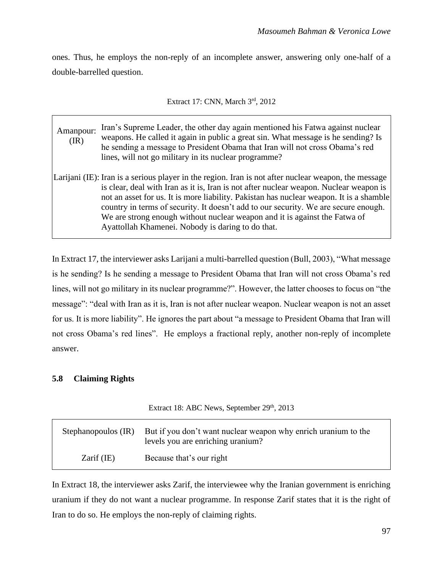ones. Thus, he employs the non-reply of an incomplete answer, answering only one-half of a double-barrelled question.

| Extract 17: CNN, March 3rd, 2012 |  |  |  |  |  |
|----------------------------------|--|--|--|--|--|
|----------------------------------|--|--|--|--|--|

Amanpour: (IR) Iran's Supreme Leader, the other day again mentioned his Fatwa against nuclear weapons. He called it again in public a great sin. What message is he sending? Is he sending a message to President Obama that Iran will not cross Obama's red lines, will not go military in its nuclear programme? Larijani (IE): Iran is a serious player in the region. Iran is not after nuclear weapon, the message is clear, deal with Iran as it is, Iran is not after nuclear weapon. Nuclear weapon is not an asset for us. It is more liability. Pakistan has nuclear weapon. It is a shamble country in terms of security. It doesn't add to our security. We are secure enough.

We are strong enough without nuclear weapon and it is against the Fatwa of Ayattollah Khamenei. Nobody is daring to do that.

In Extract 17, the interviewer asks Larijani a multi-barrelled question (Bull, 2003), "What message is he sending? Is he sending a message to President Obama that Iran will not cross Obama's red lines, will not go military in its nuclear programme?". However, the latter chooses to focus on "the message": "deal with Iran as it is, Iran is not after nuclear weapon. Nuclear weapon is not an asset for us. It is more liability". He ignores the part about "a message to President Obama that Iran will not cross Obama's red lines". He employs a fractional reply, another non-reply of incomplete answer.

# **5.8 Claiming Rights**

Extract 18: ABC News, September  $29<sup>th</sup>$ , 2013

|              | Stephanopoulos (IR) But if you don't want nuclear weapon why enrich uranium to the<br>levels you are enriching uranium? |
|--------------|-------------------------------------------------------------------------------------------------------------------------|
| $Zarif$ (IE) | Because that's our right                                                                                                |

In Extract 18, the interviewer asks Zarif, the interviewee why the Iranian government is enriching uranium if they do not want a nuclear programme. In response Zarif states that it is the right of Iran to do so. He employs the non-reply of claiming rights.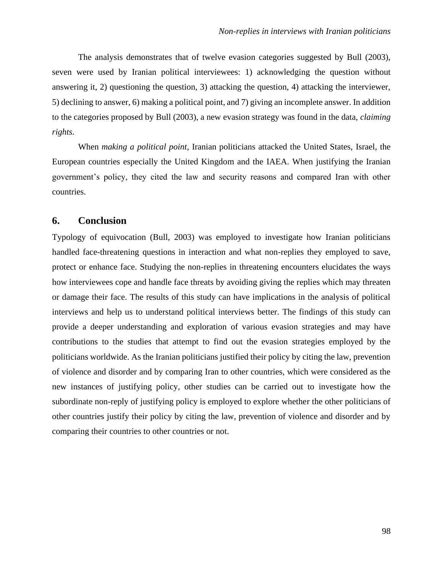The analysis demonstrates that of twelve evasion categories suggested by Bull (2003), seven were used by Iranian political interviewees: 1) acknowledging the question without answering it, 2) questioning the question, 3) attacking the question, 4) attacking the interviewer, 5) declining to answer, 6) making a political point, and 7) giving an incomplete answer. In addition to the categories proposed by Bull (2003), a new evasion strategy was found in the data, *claiming rights.*

 When *making a political point*, Iranian politicians attacked the United States, Israel, the European countries especially the United Kingdom and the IAEA. When justifying the Iranian government's policy, they cited the law and security reasons and compared Iran with other countries.

### **6. Conclusion**

Typology of equivocation (Bull, 2003) was employed to investigate how Iranian politicians handled face-threatening questions in interaction and what non-replies they employed to save, protect or enhance face. Studying the non-replies in threatening encounters elucidates the ways how interviewees cope and handle face threats by avoiding giving the replies which may threaten or damage their face. The results of this study can have implications in the analysis of political interviews and help us to understand political interviews better. The findings of this study can provide a deeper understanding and exploration of various evasion strategies and may have contributions to the studies that attempt to find out the evasion strategies employed by the politicians worldwide. As the Iranian politicians justified their policy by citing the law, prevention of violence and disorder and by comparing Iran to other countries, which were considered as the new instances of justifying policy, other studies can be carried out to investigate how the subordinate non-reply of justifying policy is employed to explore whether the other politicians of other countries justify their policy by citing the law, prevention of violence and disorder and by comparing their countries to other countries or not.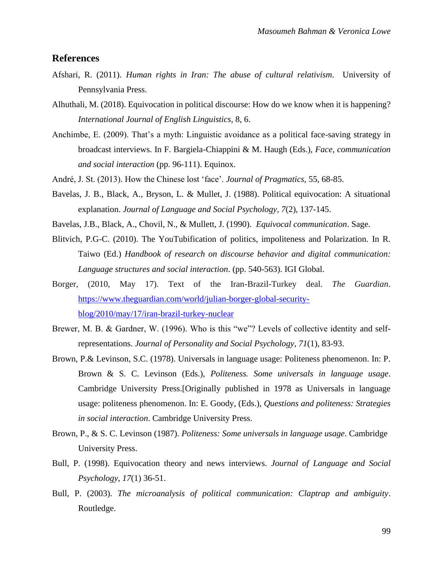### **References**

- Afshari, R. (2011). *Human rights in Iran: The abuse of cultural relativism*. University of Pennsylvania Press.
- Alhuthali, M. (2018). Equivocation in political discourse: How do we know when it is happening? *International Journal of English Linguistics*, 8, 6.
- Anchimbe, E. (2009). That's a myth: Linguistic avoidance as a political face-saving strategy in broadcast interviews. In F. Bargiela-Chiappini & M. Haugh (Eds.), *Face, communication and social interaction* (pp. 96-111). Equinox.
- André, J. St. (2013). How the Chinese lost 'face'. *Journal of Pragmatics,* 55, 68-85.
- Bavelas, J. B., Black, A., Bryson, L. & Mullet, J. (1988). Political equivocation: A situational explanation. *Journal of Language and Social Psychology*, *7*(2), 137-145.
- Bavelas, J.B., Black, A., Chovil, N., & Mullett, J. (1990). *Equivocal communication*. Sage.
- Blitvich, P.G-C. (2010). The YouTubification of politics, impoliteness and Polarization. In R. Taiwo (Ed.) *Handbook of research on discourse behavior and digital communication: Language structures and social interaction*. (pp. 540-563). IGI Global.
- Borger, (2010, May 17). Text of the Iran-Brazil-Turkey deal. *The Guardian*. [https://www.theguardian.com/world/julian-borger-global-security](https://www.theguardian.com/world/julian-borger-global-security-blog/2010/may/17/iran-brazil-turkey-nuclear)[blog/2010/may/17/iran-brazil-turkey-nuclear](https://www.theguardian.com/world/julian-borger-global-security-blog/2010/may/17/iran-brazil-turkey-nuclear)
- Brewer, M. B. & Gardner, W. (1996). Who is this "we"? Levels of collective identity and selfrepresentations. *Journal of Personality and Social Psychology, 71*(1), 83-93.
- Brown, P.& Levinson, S.C. (1978). Universals in language usage: Politeness phenomenon. In: P. Brown & S. C. Levinson (Eds.), *Politeness. Some universals in language usage*. Cambridge University Press.[Originally published in 1978 as Universals in language usage: politeness phenomenon. In: E. Goody, (Eds.), *Questions and politeness: Strategies in social interaction*. Cambridge University Press.
- Brown, P., & S. C. Levinson (1987). *Politeness: Some universals in language usage*. Cambridge University Press.
- Bull, P. (1998). Equivocation theory and news interviews. *Journal of Language and Social Psychology*, *17*(1) 36-51.
- Bull, P. (2003). *The microanalysis of political communication: Claptrap and ambiguity*. Routledge.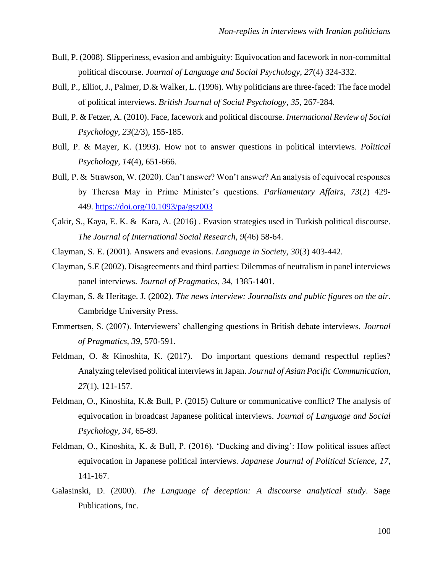- Bull, P. (2008). Slipperiness, evasion and ambiguity: Equivocation and facework in non-committal political discourse. *Journal of Language and Social Psychology*, *27*(4) 324-332.
- Bull, P., Elliot, J., Palmer, D.& Walker, L. (1996). Why politicians are three-faced: The face model of political interviews. *British Journal of Social Psychology, 35*, 267-284.
- Bull, P. & Fetzer, A. (2010). Face, facework and political discourse. *International Review of Social Psychology, 23*(2/3), 155-185.
- Bull, P. & Mayer, K. (1993). How not to answer questions in political interviews. *Political Psychology, 14*(4), 651-666.
- [Bull,](about:blank) P. [& Strawson,](about:blank) W. (2020). Can't answer? Won't answer? An analysis of equivocal responses by Theresa May in Prime Minister's questions. *Parliamentary Affairs*, *73*(2) 429- 449. <https://doi.org/10.1093/pa/gsz003>
- Çakir, S., Kaya, E. K. & Kara, A. (2016) . Evasion strategies used in Turkish political discourse. *The Journal of International Social Research*, *9*(46) 58-64.
- Clayman, S. E. (2001). Answers and evasions. *Language in Society*, *30*(3) 403-442.
- Clayman, S.E (2002). Disagreements and third parties: Dilemmas of neutralism in panel interviews panel interviews. *Journal of Pragmatics*, *34*, 1385-1401.
- Clayman, S. & Heritage. J. (2002). *The news interview: Journalists and public figures on the air*. Cambridge University Press.
- Emmertsen, S. (2007). Interviewers' challenging questions in British debate interviews. *Journal of Pragmatics, 39*, 570-591.
- Feldman, O. & Kinoshita, K. (2017). Do important questions demand respectful replies? Analyzing televised political interviews in Japan. *Journal of Asian Pacific Communication, 27*(1), 121-157.
- Feldman, O., Kinoshita, K.& Bull, P. (2015) Culture or communicative conflict? The analysis of equivocation in broadcast Japanese political interviews. *Journal of Language and Social Psychology*, *34*, 65-89.
- Feldman, O., Kinoshita, K. & Bull, P. (2016). 'Ducking and diving': How political issues affect equivocation in Japanese political interviews. *Japanese Journal of Political Science*, *17*, 141-167.
- Galasinski, D. (2000). *The Language of deception: A discourse analytical study*. Sage Publications, Inc.